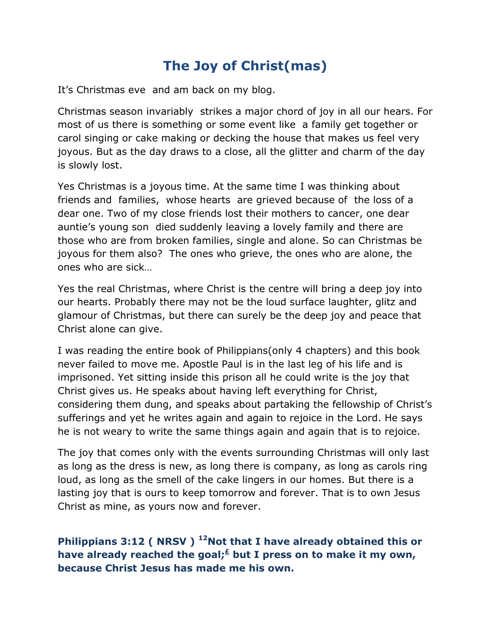## **The Joy of Christ(mas)**

It's Christmas eve and am back on my blog.

Christmas season invariably strikes a major chord of joy in all our hears. For most of us there is something or some event like a family get together or carol singing or cake making or decking the house that makes us feel very joyous. But as the day draws to a close, all the glitter and charm of the day is slowly lost.

Yes Christmas is a joyous time. At the same time I was thinking about friends and families, whose hearts are grieved because of the loss of a dear one. Two of my close friends lost their mothers to cancer, one dear auntie's young son died suddenly leaving a lovely family and there are those who are from broken families, single and alone. So can Christmas be joyous for them also? The ones who grieve, the ones who are alone, the ones who are sick…

Yes the real Christmas, where Christ is the centre will bring a deep joy into our hearts. Probably there may not be the loud surface laughter, glitz and glamour of Christmas, but there can surely be the deep joy and peace that Christ alone can give.

I was reading the entire book of Philippians(only 4 chapters) and this book never failed to move me. Apostle Paul is in the last leg of his life and is imprisoned. Yet sitting inside this prison all he could write is the joy that Christ gives us. He speaks about having left everything for Christ, considering them dung, and speaks about partaking the fellowship of Christ's sufferings and yet he writes again and again to rejoice in the Lord. He says he is not weary to write the same things again and again that is to rejoice.

The joy that comes only with the events surrounding Christmas will only last as long as the dress is new, as long there is company, as long as carols ring loud, as long as the smell of the cake lingers in our homes. But there is a lasting joy that is ours to keep tomorrow and forever. That is to own Jesus Christ as mine, as yours now and forever.

## **Philippians 3:12 ( NRSV ) <sup>12</sup>Not that I have already obtained this or have already reached the goal;[£](qv://steplinkto1%200000039289/) but I press on to make it my own, because Christ Jesus has made me his own.**